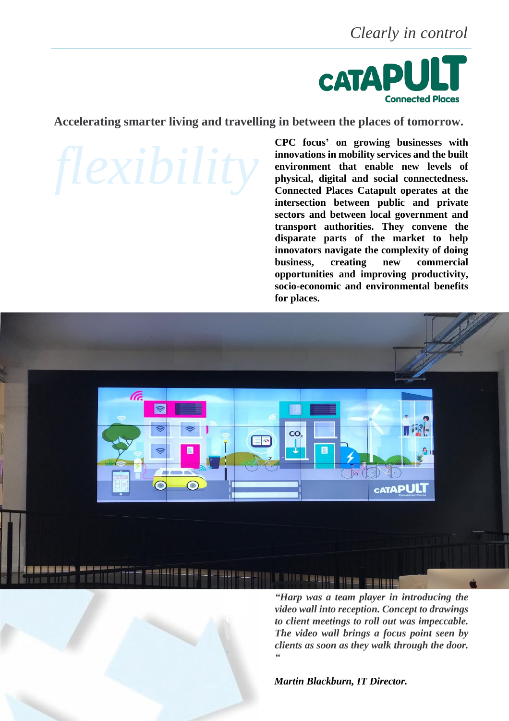*Clearly in control*



**Accelerating smarter living and travelling in between the places of tomorrow.**

**CPC focus' on growing businesses with innovations in mobility services and the built environment that enable new levels of physical, digital and social connectedness. Connected Places Catapult operates at the intersection between public and private sectors and between local government and transport authorities. They convene the disparate parts of the market to help innovators navigate the complexity of doing business, creating new commercial opportunities and improving productivity, socio-economic and environmental benefits for places.**



*video wall into reception. Concept to drawings to client meetings to roll out was impeccable. The video wall brings a focus point seen by clients as soon as they walk through the door. "*

*Martin Blackburn, IT Director.*